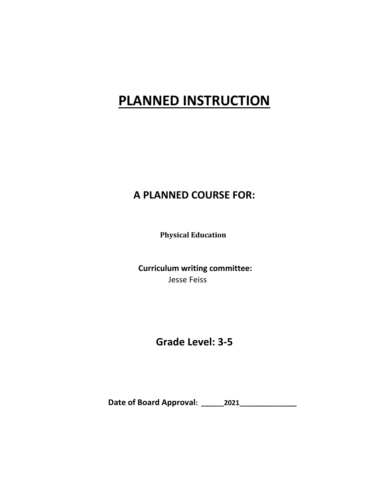# **PLANNED INSTRUCTION**

### **A PLANNED COURSE FOR:**

**Physical Education**

**Curriculum writing committee:**  Jesse Feiss

### **Grade Level: 3-5**

**Date of Board Approval: \_\_\_\_\_\_2021\_\_\_\_\_\_\_\_\_\_\_\_\_\_\_**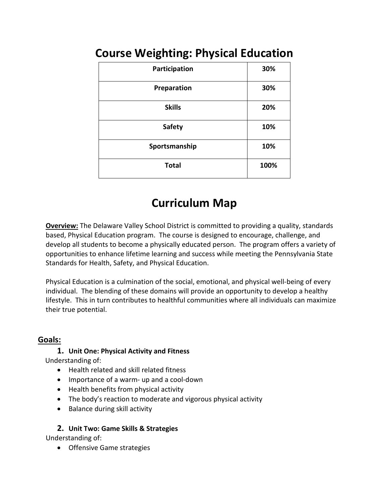| Participation | 30%  |
|---------------|------|
| Preparation   | 30%  |
| <b>Skills</b> | 20%  |
| <b>Safety</b> | 10%  |
| Sportsmanship | 10%  |
| <b>Total</b>  | 100% |

## **Course Weighting: Physical Education**

## **Curriculum Map**

**Overview:** The Delaware Valley School District is committed to providing a quality, standards based, Physical Education program. The course is designed to encourage, challenge, and develop all students to become a physically educated person. The program offers a variety of opportunities to enhance lifetime learning and success while meeting the Pennsylvania State Standards for Health, Safety, and Physical Education.

Physical Education is a culmination of the social, emotional, and physical well-being of every individual. The blending of these domains will provide an opportunity to develop a healthy lifestyle. This in turn contributes to healthful communities where all individuals can maximize their true potential.

### **Goals:**

#### **1. Unit One: Physical Activity and Fitness**

Understanding of:

- Health related and skill related fitness
- Importance of a warm- up and a cool-down
- Health benefits from physical activity
- The body's reaction to moderate and vigorous physical activity
- Balance during skill activity

### **2. Unit Two: Game Skills & Strategies**

Understanding of:

• Offensive Game strategies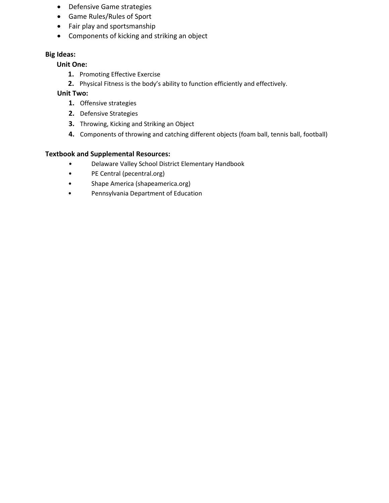- Defensive Game strategies
- Game Rules/Rules of Sport
- Fair play and sportsmanship
- Components of kicking and striking an object

#### **Big Ideas:**

#### **Unit One:**

- **1.** Promoting Effective Exercise
- **2.** Physical Fitness is the body's ability to function efficiently and effectively.

#### **Unit Two:**

- **1.** Offensive strategies
- **2.** Defensive Strategies
- **3.** Throwing, Kicking and Striking an Object
- **4.** Components of throwing and catching different objects (foam ball, tennis ball, football)

#### **Textbook and Supplemental Resources:**

- Delaware Valley School District Elementary Handbook
- PE Central (pecentral.org)
- Shape America (shapeamerica.org)
- Pennsylvania Department of Education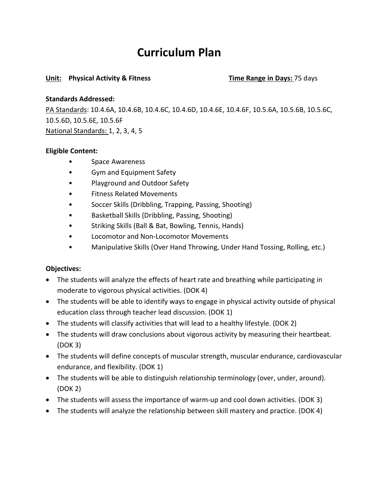### **Curriculum Plan**

#### **Unit: Physical Activity & Fitness Time Range in Days:** 75 days

#### **Standards Addressed:**

PA Standards: 10.4.6A, 10.4.6B, 10.4.6C, 10.4.6D, 10.4.6E, 10.4.6F, 10.5.6A, 10.5.6B, 10.5.6C, 10.5.6D, 10.5.6E, 10.5.6F National Standards: 1, 2, 3, 4, 5

#### **Eligible Content:**

- Space Awareness
- Gym and Equipment Safety
- Playground and Outdoor Safety
- Fitness Related Movements
- Soccer Skills (Dribbling, Trapping, Passing, Shooting)
- Basketball Skills (Dribbling, Passing, Shooting)
- Striking Skills (Ball & Bat, Bowling, Tennis, Hands)
- Locomotor and Non-Locomotor Movements
- Manipulative Skills (Over Hand Throwing, Under Hand Tossing, Rolling, etc.)

#### **Objectives:**

- The students will analyze the effects of heart rate and breathing while participating in moderate to vigorous physical activities. (DOK 4)
- The students will be able to identify ways to engage in physical activity outside of physical education class through teacher lead discussion. (DOK 1)
- The students will classify activities that will lead to a healthy lifestyle. (DOK 2)
- The students will draw conclusions about vigorous activity by measuring their heartbeat. (DOK 3)
- The students will define concepts of muscular strength, muscular endurance, cardiovascular endurance, and flexibility. (DOK 1)
- The students will be able to distinguish relationship terminology (over, under, around). (DOK 2)
- The students will assess the importance of warm-up and cool down activities. (DOK 3)
- The students will analyze the relationship between skill mastery and practice. (DOK 4)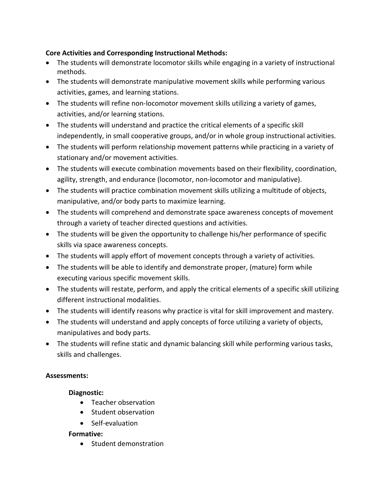#### **Core Activities and Corresponding Instructional Methods:**

- The students will demonstrate locomotor skills while engaging in a variety of instructional methods.
- The students will demonstrate manipulative movement skills while performing various activities, games, and learning stations.
- The students will refine non-locomotor movement skills utilizing a variety of games, activities, and/or learning stations.
- The students will understand and practice the critical elements of a specific skill independently, in small cooperative groups, and/or in whole group instructional activities.
- The students will perform relationship movement patterns while practicing in a variety of stationary and/or movement activities.
- The students will execute combination movements based on their flexibility, coordination, agility, strength, and endurance (locomotor, non-locomotor and manipulative).
- The students will practice combination movement skills utilizing a multitude of objects, manipulative, and/or body parts to maximize learning.
- The students will comprehend and demonstrate space awareness concepts of movement through a variety of teacher directed questions and activities.
- The students will be given the opportunity to challenge his/her performance of specific skills via space awareness concepts.
- The students will apply effort of movement concepts through a variety of activities.
- The students will be able to identify and demonstrate proper, (mature) form while executing various specific movement skills.
- The students will restate, perform, and apply the critical elements of a specific skill utilizing different instructional modalities.
- The students will identify reasons why practice is vital for skill improvement and mastery.
- The students will understand and apply concepts of force utilizing a variety of objects, manipulatives and body parts.
- The students will refine static and dynamic balancing skill while performing various tasks, skills and challenges.

#### **Assessments:**

#### **Diagnostic:**

- Teacher observation
- Student observation
- Self-evaluation

#### **Formative:**

• Student demonstration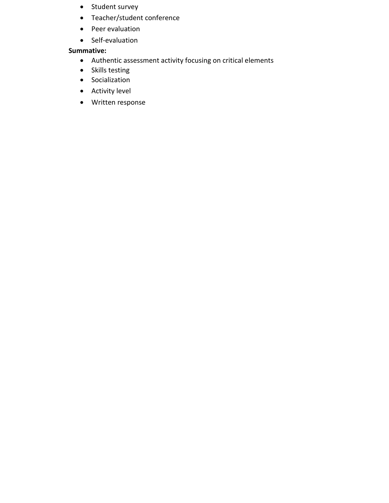- Student survey
- Teacher/student conference
- Peer evaluation
- Self-evaluation

#### **Summative:**

- Authentic assessment activity focusing on critical elements
- Skills testing
- Socialization
- Activity level
- Written response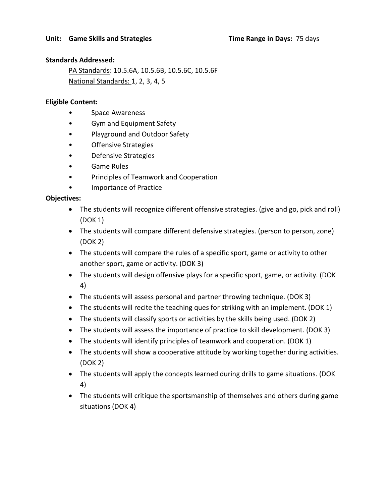#### **Standards Addressed:**

PA Standards: 10.5.6A, 10.5.6B, 10.5.6C, 10.5.6F National Standards: 1, 2, 3, 4, 5

#### **Eligible Content:**

- Space Awareness
- Gym and Equipment Safety
- Playground and Outdoor Safety
- Offensive Strategies
- Defensive Strategies
- Game Rules
- Principles of Teamwork and Cooperation
- Importance of Practice

#### **Objectives:**

- The students will recognize different offensive strategies. (give and go, pick and roll) (DOK 1)
- The students will compare different defensive strategies. (person to person, zone) (DOK 2)
- The students will compare the rules of a specific sport, game or activity to other another sport, game or activity. (DOK 3)
- The students will design offensive plays for a specific sport, game, or activity. (DOK 4)
- The students will assess personal and partner throwing technique. (DOK 3)
- The students will recite the teaching ques for striking with an implement. (DOK 1)
- The students will classify sports or activities by the skills being used. (DOK 2)
- The students will assess the importance of practice to skill development. (DOK 3)
- The students will identify principles of teamwork and cooperation. (DOK 1)
- The students will show a cooperative attitude by working together during activities. (DOK 2)
- The students will apply the concepts learned during drills to game situations. (DOK 4)
- The students will critique the sportsmanship of themselves and others during game situations (DOK 4)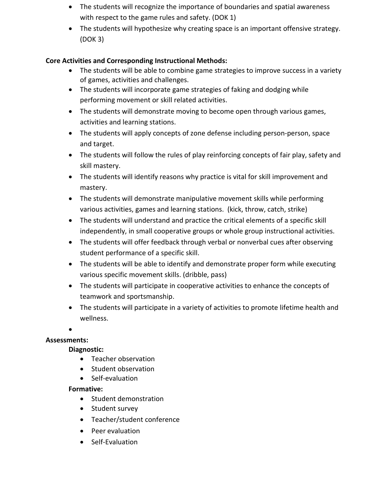- The students will recognize the importance of boundaries and spatial awareness with respect to the game rules and safety. (DOK 1)
- The students will hypothesize why creating space is an important offensive strategy. (DOK 3)

#### **Core Activities and Corresponding Instructional Methods:**

- The students will be able to combine game strategies to improve success in a variety of games, activities and challenges.
- The students will incorporate game strategies of faking and dodging while performing movement or skill related activities.
- The students will demonstrate moving to become open through various games, activities and learning stations.
- The students will apply concepts of zone defense including person-person, space and target.
- The students will follow the rules of play reinforcing concepts of fair play, safety and skill mastery.
- The students will identify reasons why practice is vital for skill improvement and mastery.
- The students will demonstrate manipulative movement skills while performing various activities, games and learning stations. (kick, throw, catch, strike)
- The students will understand and practice the critical elements of a specific skill independently, in small cooperative groups or whole group instructional activities.
- The students will offer feedback through verbal or nonverbal cues after observing student performance of a specific skill.
- The students will be able to identify and demonstrate proper form while executing various specific movement skills. (dribble, pass)
- The students will participate in cooperative activities to enhance the concepts of teamwork and sportsmanship.
- The students will participate in a variety of activities to promote lifetime health and wellness.

•

#### **Assessments:**

#### **Diagnostic:**

- Teacher observation
- Student observation
- Self-evaluation

#### **Formative:**

- Student demonstration
- Student survey
- Teacher/student conference
- Peer evaluation
- Self-Evaluation